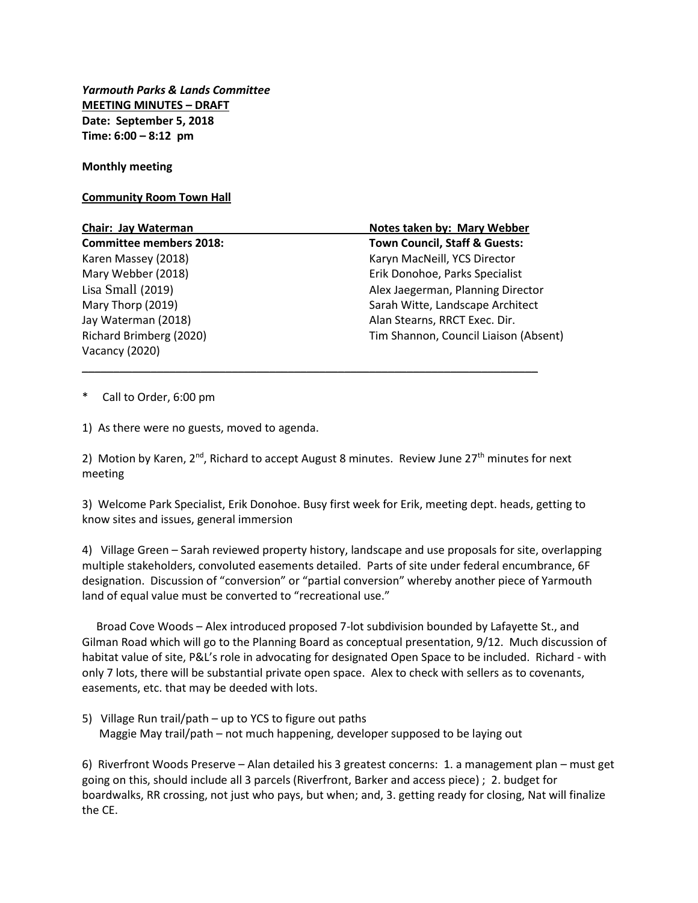*Yarmouth Parks & Lands Committee* **MEETING MINUTES – DRAFT Date: September 5, 2018 Time: 6:00 – 8:12 pm**

**Monthly meeting**

## **Community Room Town Hall**

| <b>Chair: Jay Waterman</b>     | Notes taken by: Mary Webber           |
|--------------------------------|---------------------------------------|
| <b>Committee members 2018:</b> | Town Council, Staff & Guests:         |
| Karen Massey (2018)            | Karyn MacNeill, YCS Director          |
| Mary Webber (2018)             | Erik Donohoe, Parks Specialist        |
| Lisa Small (2019)              | Alex Jaegerman, Planning Director     |
| Mary Thorp (2019)              | Sarah Witte, Landscape Architect      |
| Jay Waterman (2018)            | Alan Stearns, RRCT Exec. Dir.         |
| Richard Brimberg (2020)        | Tim Shannon, Council Liaison (Absent) |
| Vacancy (2020)                 |                                       |

\_\_\_\_\_\_\_\_\_\_\_\_\_\_\_\_\_\_\_\_\_\_\_\_\_\_\_\_\_\_\_\_\_\_\_\_\_\_\_\_\_\_\_\_\_\_\_\_\_\_\_\_\_\_\_\_\_\_\_\_\_\_\_\_\_\_\_\_\_\_\_\_\_

Call to Order, 6:00 pm

1) As there were no guests, moved to agenda.

2) Motion by Karen,  $2^{nd}$ , Richard to accept August 8 minutes. Review June  $27<sup>th</sup>$  minutes for next meeting

3) Welcome Park Specialist, Erik Donohoe. Busy first week for Erik, meeting dept. heads, getting to know sites and issues, general immersion

4) Village Green – Sarah reviewed property history, landscape and use proposals for site, overlapping multiple stakeholders, convoluted easements detailed. Parts of site under federal encumbrance, 6F designation. Discussion of "conversion" or "partial conversion" whereby another piece of Yarmouth land of equal value must be converted to "recreational use."

 Broad Cove Woods – Alex introduced proposed 7-lot subdivision bounded by Lafayette St., and Gilman Road which will go to the Planning Board as conceptual presentation, 9/12. Much discussion of habitat value of site, P&L's role in advocating for designated Open Space to be included. Richard - with only 7 lots, there will be substantial private open space. Alex to check with sellers as to covenants, easements, etc. that may be deeded with lots.

5) Village Run trail/path – up to YCS to figure out paths Maggie May trail/path – not much happening, developer supposed to be laying out

6) Riverfront Woods Preserve – Alan detailed his 3 greatest concerns: 1. a management plan – must get going on this, should include all 3 parcels (Riverfront, Barker and access piece) ; 2. budget for boardwalks, RR crossing, not just who pays, but when; and, 3. getting ready for closing, Nat will finalize the CE.